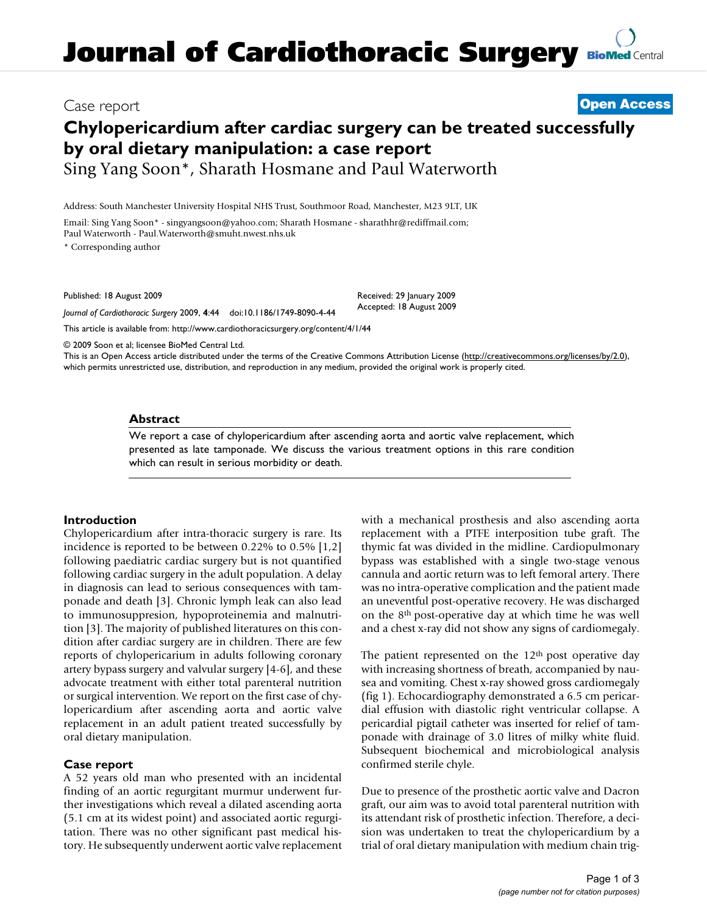# Case report **[Open Access](http://www.biomedcentral.com/info/about/charter/)**

# **Chylopericardium after cardiac surgery can be treated successfully by oral dietary manipulation: a case report** Sing Yang Soon\*, Sharath Hosmane and Paul Waterworth

Address: South Manchester University Hospital NHS Trust, Southmoor Road, Manchester, M23 9LT, UK

Email: Sing Yang Soon\* - singyangsoon@yahoo.com; Sharath Hosmane - sharathhr@rediffmail.com; Paul Waterworth - Paul.Waterworth@smuht.nwest.nhs.uk

\* Corresponding author

Published: 18 August 2009

*Journal of Cardiothoracic Surgery* 2009, **4**:44 doi:10.1186/1749-8090-4-44

[This article is available from: http://www.cardiothoracicsurgery.org/content/4/1/44](http://www.cardiothoracicsurgery.org/content/4/1/44)

© 2009 Soon et al; licensee BioMed Central Ltd.

This is an Open Access article distributed under the terms of the Creative Commons Attribution License [\(http://creativecommons.org/licenses/by/2.0\)](http://creativecommons.org/licenses/by/2.0), which permits unrestricted use, distribution, and reproduction in any medium, provided the original work is properly cited.

Received: 29 January 2009 Accepted: 18 August 2009

#### **Abstract**

We report a case of chylopericardium after ascending aorta and aortic valve replacement, which presented as late tamponade. We discuss the various treatment options in this rare condition which can result in serious morbidity or death.

## **Introduction**

Chylopericardium after intra-thoracic surgery is rare. Its incidence is reported to be between 0.22% to 0.5% [1,2] following paediatric cardiac surgery but is not quantified following cardiac surgery in the adult population. A delay in diagnosis can lead to serious consequences with tamponade and death [3]. Chronic lymph leak can also lead to immunosuppresion, hypoproteinemia and malnutrition [3]. The majority of published literatures on this condition after cardiac surgery are in children. There are few reports of chylopericarium in adults following coronary artery bypass surgery and valvular surgery [4-6], and these advocate treatment with either total parenteral nutrition or surgical intervention. We report on the first case of chylopericardium after ascending aorta and aortic valve replacement in an adult patient treated successfully by oral dietary manipulation.

#### **Case report**

A 52 years old man who presented with an incidental finding of an aortic regurgitant murmur underwent further investigations which reveal a dilated ascending aorta (5.1 cm at its widest point) and associated aortic regurgitation. There was no other significant past medical history. He subsequently underwent aortic valve replacement with a mechanical prosthesis and also ascending aorta replacement with a PTFE interposition tube graft. The thymic fat was divided in the midline. Cardiopulmonary bypass was established with a single two-stage venous cannula and aortic return was to left femoral artery. There was no intra-operative complication and the patient made an uneventful post-operative recovery. He was discharged on the 8th post-operative day at which time he was well and a chest x-ray did not show any signs of cardiomegaly.

The patient represented on the 12<sup>th</sup> post operative day with increasing shortness of breath, accompanied by nausea and vomiting. Chest x-ray showed gross cardiomegaly (fig 1). Echocardiography demonstrated a 6.5 cm pericardial effusion with diastolic right ventricular collapse. A pericardial pigtail catheter was inserted for relief of tamponade with drainage of 3.0 litres of milky white fluid. Subsequent biochemical and microbiological analysis confirmed sterile chyle.

Due to presence of the prosthetic aortic valve and Dacron graft, our aim was to avoid total parenteral nutrition with its attendant risk of prosthetic infection. Therefore, a decision was undertaken to treat the chylopericardium by a trial of oral dietary manipulation with medium chain trig-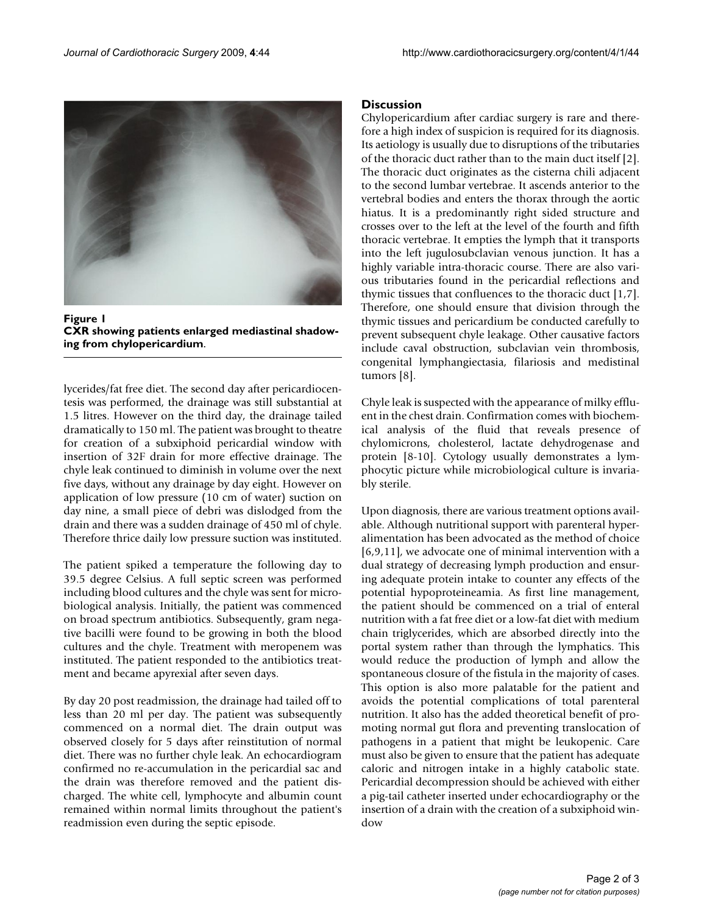

Figure 1 **CXR showing patients enlarged mediastinal shadowing from chylopericardium**.

lycerides/fat free diet. The second day after pericardiocentesis was performed, the drainage was still substantial at 1.5 litres. However on the third day, the drainage tailed dramatically to 150 ml. The patient was brought to theatre for creation of a subxiphoid pericardial window with insertion of 32F drain for more effective drainage. The chyle leak continued to diminish in volume over the next five days, without any drainage by day eight. However on application of low pressure (10 cm of water) suction on day nine, a small piece of debri was dislodged from the drain and there was a sudden drainage of 450 ml of chyle. Therefore thrice daily low pressure suction was instituted.

The patient spiked a temperature the following day to 39.5 degree Celsius. A full septic screen was performed including blood cultures and the chyle was sent for microbiological analysis. Initially, the patient was commenced on broad spectrum antibiotics. Subsequently, gram negative bacilli were found to be growing in both the blood cultures and the chyle. Treatment with meropenem was instituted. The patient responded to the antibiotics treatment and became apyrexial after seven days.

By day 20 post readmission, the drainage had tailed off to less than 20 ml per day. The patient was subsequently commenced on a normal diet. The drain output was observed closely for 5 days after reinstitution of normal diet. There was no further chyle leak. An echocardiogram confirmed no re-accumulation in the pericardial sac and the drain was therefore removed and the patient discharged. The white cell, lymphocyte and albumin count remained within normal limits throughout the patient's readmission even during the septic episode.

### **Discussion**

Chylopericardium after cardiac surgery is rare and therefore a high index of suspicion is required for its diagnosis. Its aetiology is usually due to disruptions of the tributaries of the thoracic duct rather than to the main duct itself [2]. The thoracic duct originates as the cisterna chili adjacent to the second lumbar vertebrae. It ascends anterior to the vertebral bodies and enters the thorax through the aortic hiatus. It is a predominantly right sided structure and crosses over to the left at the level of the fourth and fifth thoracic vertebrae. It empties the lymph that it transports into the left jugulosubclavian venous junction. It has a highly variable intra-thoracic course. There are also various tributaries found in the pericardial reflections and thymic tissues that confluences to the thoracic duct [1,7]. Therefore, one should ensure that division through the thymic tissues and pericardium be conducted carefully to prevent subsequent chyle leakage. Other causative factors include caval obstruction, subclavian vein thrombosis, congenital lymphangiectasia, filariosis and medistinal tumors [8].

Chyle leak is suspected with the appearance of milky effluent in the chest drain. Confirmation comes with biochemical analysis of the fluid that reveals presence of chylomicrons, cholesterol, lactate dehydrogenase and protein [8-10]. Cytology usually demonstrates a lymphocytic picture while microbiological culture is invariably sterile.

Upon diagnosis, there are various treatment options available. Although nutritional support with parenteral hyperalimentation has been advocated as the method of choice [6,9,11], we advocate one of minimal intervention with a dual strategy of decreasing lymph production and ensuring adequate protein intake to counter any effects of the potential hypoproteineamia. As first line management, the patient should be commenced on a trial of enteral nutrition with a fat free diet or a low-fat diet with medium chain triglycerides, which are absorbed directly into the portal system rather than through the lymphatics. This would reduce the production of lymph and allow the spontaneous closure of the fistula in the majority of cases. This option is also more palatable for the patient and avoids the potential complications of total parenteral nutrition. It also has the added theoretical benefit of promoting normal gut flora and preventing translocation of pathogens in a patient that might be leukopenic. Care must also be given to ensure that the patient has adequate caloric and nitrogen intake in a highly catabolic state. Pericardial decompression should be achieved with either a pig-tail catheter inserted under echocardiography or the insertion of a drain with the creation of a subxiphoid window